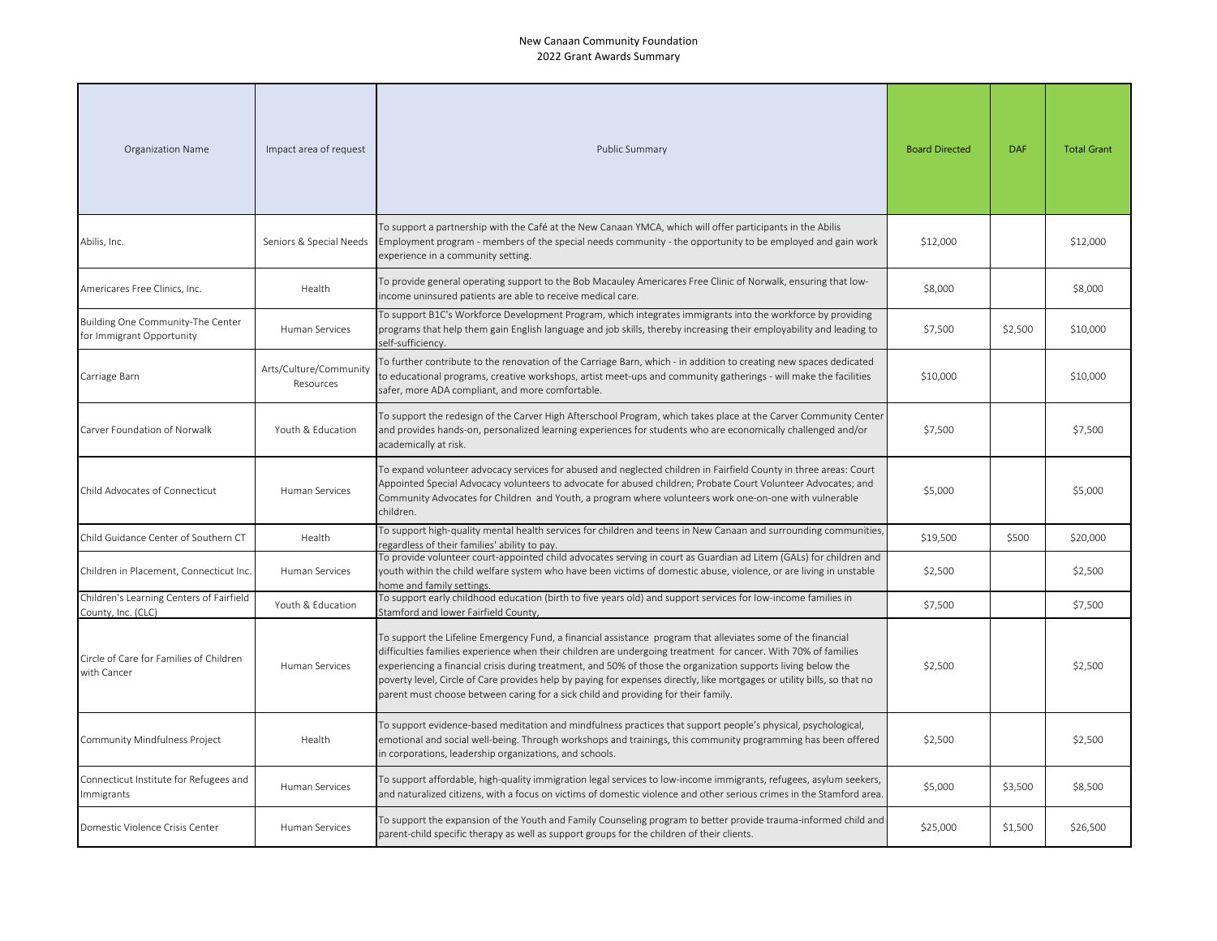| Organization Name                                              | Impact area of request              | Public Summary                                                                                                                                                                                                                                                                                                                                                                                                                                                                                                                                                    | <b>Board Directed</b> | <b>DAF</b> | <b>Total Grant</b> |
|----------------------------------------------------------------|-------------------------------------|-------------------------------------------------------------------------------------------------------------------------------------------------------------------------------------------------------------------------------------------------------------------------------------------------------------------------------------------------------------------------------------------------------------------------------------------------------------------------------------------------------------------------------------------------------------------|-----------------------|------------|--------------------|
| Abilis, Inc.                                                   | Seniors & Special Needs             | To support a partnership with the Café at the New Canaan YMCA, which will offer participants in the Abilis<br>Employment program - members of the special needs community - the opportunity to be employed and gain work<br>experience in a community setting.                                                                                                                                                                                                                                                                                                    | \$12,000              |            | \$12,000           |
| Americares Free Clinics, Inc.                                  | Health                              | To provide general operating support to the Bob Macauley Americares Free Clinic of Norwalk, ensuring that low-<br>income uninsured patients are able to receive medical care.                                                                                                                                                                                                                                                                                                                                                                                     | \$8,000               |            | \$8,000            |
| Building One Community-The Center<br>for Immigrant Opportunity | Human Services                      | To support B1C's Workforce Development Program, which integrates immigrants into the workforce by providing<br>programs that help them gain English language and job skills, thereby increasing their employability and leading to<br>self-sufficiency.                                                                                                                                                                                                                                                                                                           | \$7,500               | \$2,500    | \$10,000           |
| Carriage Barn                                                  | Arts/Culture/Community<br>Resources | To further contribute to the renovation of the Carriage Barn, which - in addition to creating new spaces dedicated<br>to educational programs, creative workshops, artist meet-ups and community gatherings - will make the facilities<br>safer, more ADA compliant, and more comfortable.                                                                                                                                                                                                                                                                        | \$10,000              |            | \$10,000           |
| Carver Foundation of Norwalk                                   | Youth & Education                   | To support the redesign of the Carver High Afterschool Program, which takes place at the Carver Community Center<br>and provides hands-on, personalized learning experiences for students who are economically challenged and/or<br>academically at risk.                                                                                                                                                                                                                                                                                                         | \$7,500               |            | \$7,500            |
| Child Advocates of Connecticut                                 | Human Services                      | To expand volunteer advocacy services for abused and neglected children in Fairfield County in three areas: Court<br>Appointed Special Advocacy volunteers to advocate for abused children; Probate Court Volunteer Advocates; and<br>Community Advocates for Children and Youth, a program where volunteers work one-on-one with vulnerable<br>children.                                                                                                                                                                                                         | \$5,000               |            | \$5,000            |
| Child Guidance Center of Southern CT                           | Health                              | To support high-quality mental health services for children and teens in New Canaan and surrounding communities,<br>regardless of their families' ability to pay.                                                                                                                                                                                                                                                                                                                                                                                                 | \$19,500              | \$500      | \$20,000           |
| Children in Placement, Connecticut Inc.                        | Human Services                      | To provide volunteer court-appointed child advocates serving in court as Guardian ad Litem (GALs) for children and<br>youth within the child welfare system who have been victims of domestic abuse, violence, or are living in unstable<br>home and family settings.                                                                                                                                                                                                                                                                                             | \$2,500               |            | \$2,500            |
| Children's Learning Centers of Fairfield<br>County, Inc. (CLC) | Youth & Education                   | To support early childhood education (birth to five years old) and support services for low-income families in<br>Stamford and lower Fairfield County,                                                                                                                                                                                                                                                                                                                                                                                                            | \$7,500               |            | \$7,500            |
| Circle of Care for Families of Children<br>with Cancer         | Human Services                      | To support the Lifeline Emergency Fund, a financial assistance program that alleviates some of the financial<br>difficulties families experience when their children are undergoing treatment for cancer. With 70% of families<br>experiencing a financial crisis during treatment, and 50% of those the organization supports living below the<br>poverty level, Circle of Care provides help by paying for expenses directly, like mortgages or utility bills, so that no<br>parent must choose between caring for a sick child and providing for their family. | \$2,500               |            | \$2,500            |
| Community Mindfulness Project                                  | Health                              | To support evidence-based meditation and mindfulness practices that support people's physical, psychological,<br>emotional and social well-being. Through workshops and trainings, this community programming has been offered<br>in corporations, leadership organizations, and schools.                                                                                                                                                                                                                                                                         | \$2,500               |            | \$2,500            |
| Connecticut Institute for Refugees and<br>Immigrants           | <b>Human Services</b>               | To support affordable, high-quality immigration legal services to low-income immigrants, refugees, asylum seekers,<br>and naturalized citizens, with a focus on victims of domestic violence and other serious crimes in the Stamford area.                                                                                                                                                                                                                                                                                                                       | \$5,000               | \$3,500    | \$8,500            |
| Domestic Violence Crisis Center                                | Human Services                      | To support the expansion of the Youth and Family Counseling program to better provide trauma-informed child and<br>parent-child specific therapy as well as support groups for the children of their clients.                                                                                                                                                                                                                                                                                                                                                     | \$25,000              | \$1,500    | \$26,500           |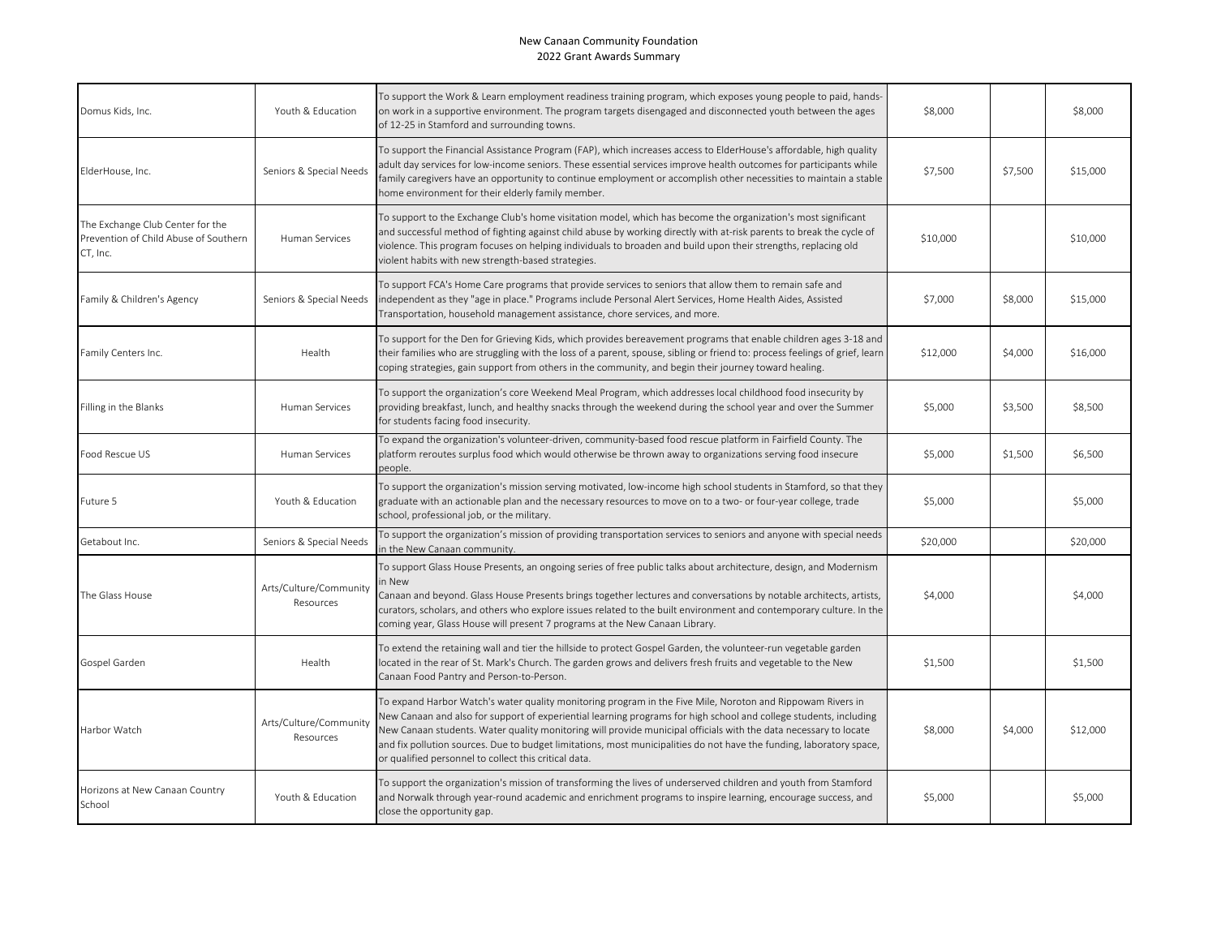| Domus Kids, Inc.                                                                      | Youth & Education                   | To support the Work & Learn employment readiness training program, which exposes young people to paid, hands-<br>on work in a supportive environment. The program targets disengaged and disconnected youth between the ages<br>of 12-25 in Stamford and surrounding towns.                                                                                                                                                                                                                                                          | \$8,000  |         | \$8,000  |
|---------------------------------------------------------------------------------------|-------------------------------------|--------------------------------------------------------------------------------------------------------------------------------------------------------------------------------------------------------------------------------------------------------------------------------------------------------------------------------------------------------------------------------------------------------------------------------------------------------------------------------------------------------------------------------------|----------|---------|----------|
| ElderHouse, Inc.                                                                      | Seniors & Special Needs             | To support the Financial Assistance Program (FAP), which increases access to ElderHouse's affordable, high quality<br>adult day services for low-income seniors. These essential services improve health outcomes for participants while<br>family caregivers have an opportunity to continue employment or accomplish other necessities to maintain a stable<br>home environment for their elderly family member.                                                                                                                   | \$7,500  | \$7,500 | \$15,000 |
| The Exchange Club Center for the<br>Prevention of Child Abuse of Southern<br>CT, Inc. | Human Services                      | To support to the Exchange Club's home visitation model, which has become the organization's most significant<br>and successful method of fighting against child abuse by working directly with at-risk parents to break the cycle of<br>violence. This program focuses on helping individuals to broaden and build upon their strengths, replacing old<br>violent habits with new strength-based strategies.                                                                                                                        | \$10,000 |         | \$10,000 |
| Family & Children's Agency                                                            | Seniors & Special Needs             | To support FCA's Home Care programs that provide services to seniors that allow them to remain safe and<br>independent as they "age in place." Programs include Personal Alert Services, Home Health Aides, Assisted<br>Transportation, household management assistance, chore services, and more.                                                                                                                                                                                                                                   | \$7,000  | \$8,000 | \$15,000 |
| Family Centers Inc.                                                                   | Health                              | To support for the Den for Grieving Kids, which provides bereavement programs that enable children ages 3-18 and<br>their families who are struggling with the loss of a parent, spouse, sibling or friend to: process feelings of grief, learn<br>coping strategies, gain support from others in the community, and begin their journey toward healing.                                                                                                                                                                             | \$12,000 | \$4,000 | \$16,000 |
| Filling in the Blanks                                                                 | Human Services                      | To support the organization's core Weekend Meal Program, which addresses local childhood food insecurity by<br>providing breakfast, lunch, and healthy snacks through the weekend during the school year and over the Summer<br>for students facing food insecurity.                                                                                                                                                                                                                                                                 | \$5,000  | \$3,500 | \$8,500  |
| Food Rescue US                                                                        | Human Services                      | To expand the organization's volunteer-driven, community-based food rescue platform in Fairfield County. The<br>platform reroutes surplus food which would otherwise be thrown away to organizations serving food insecure<br>people.                                                                                                                                                                                                                                                                                                | \$5,000  | \$1,500 | \$6,500  |
| Future 5                                                                              | Youth & Education                   | To support the organization's mission serving motivated, low-income high school students in Stamford, so that they<br>graduate with an actionable plan and the necessary resources to move on to a two- or four-year college, trade<br>school, professional job, or the military.                                                                                                                                                                                                                                                    | \$5,000  |         | \$5,000  |
| Getabout Inc.                                                                         | Seniors & Special Needs             | To support the organization's mission of providing transportation services to seniors and anyone with special needs<br>in the New Canaan community.                                                                                                                                                                                                                                                                                                                                                                                  | \$20,000 |         | \$20,000 |
| The Glass House                                                                       | Arts/Culture/Community<br>Resources | To support Glass House Presents, an ongoing series of free public talks about architecture, design, and Modernism<br>in New<br>Canaan and beyond. Glass House Presents brings together lectures and conversations by notable architects, artists,<br>curators, scholars, and others who explore issues related to the built environment and contemporary culture. In the<br>coming year, Glass House will present 7 programs at the New Canaan Library.                                                                              | \$4,000  |         | \$4,000  |
| Gospel Garden                                                                         | Health                              | To extend the retaining wall and tier the hillside to protect Gospel Garden, the volunteer-run vegetable garden<br>located in the rear of St. Mark's Church. The garden grows and delivers fresh fruits and vegetable to the New<br>Canaan Food Pantry and Person-to-Person.                                                                                                                                                                                                                                                         | \$1,500  |         | \$1,500  |
| Harbor Watch                                                                          | Arts/Culture/Community<br>Resources | To expand Harbor Watch's water quality monitoring program in the Five Mile, Noroton and Rippowam Rivers in<br>New Canaan and also for support of experiential learning programs for high school and college students, including<br>New Canaan students. Water quality monitoring will provide municipal officials with the data necessary to locate<br>and fix pollution sources. Due to budget limitations, most municipalities do not have the funding, laboratory space,<br>or qualified personnel to collect this critical data. | \$8,000  | \$4,000 | \$12,000 |
| Horizons at New Canaan Country<br>School                                              | Youth & Education                   | To support the organization's mission of transforming the lives of underserved children and youth from Stamford<br>and Norwalk through year-round academic and enrichment programs to inspire learning, encourage success, and<br>close the opportunity gap.                                                                                                                                                                                                                                                                         | \$5,000  |         | \$5,000  |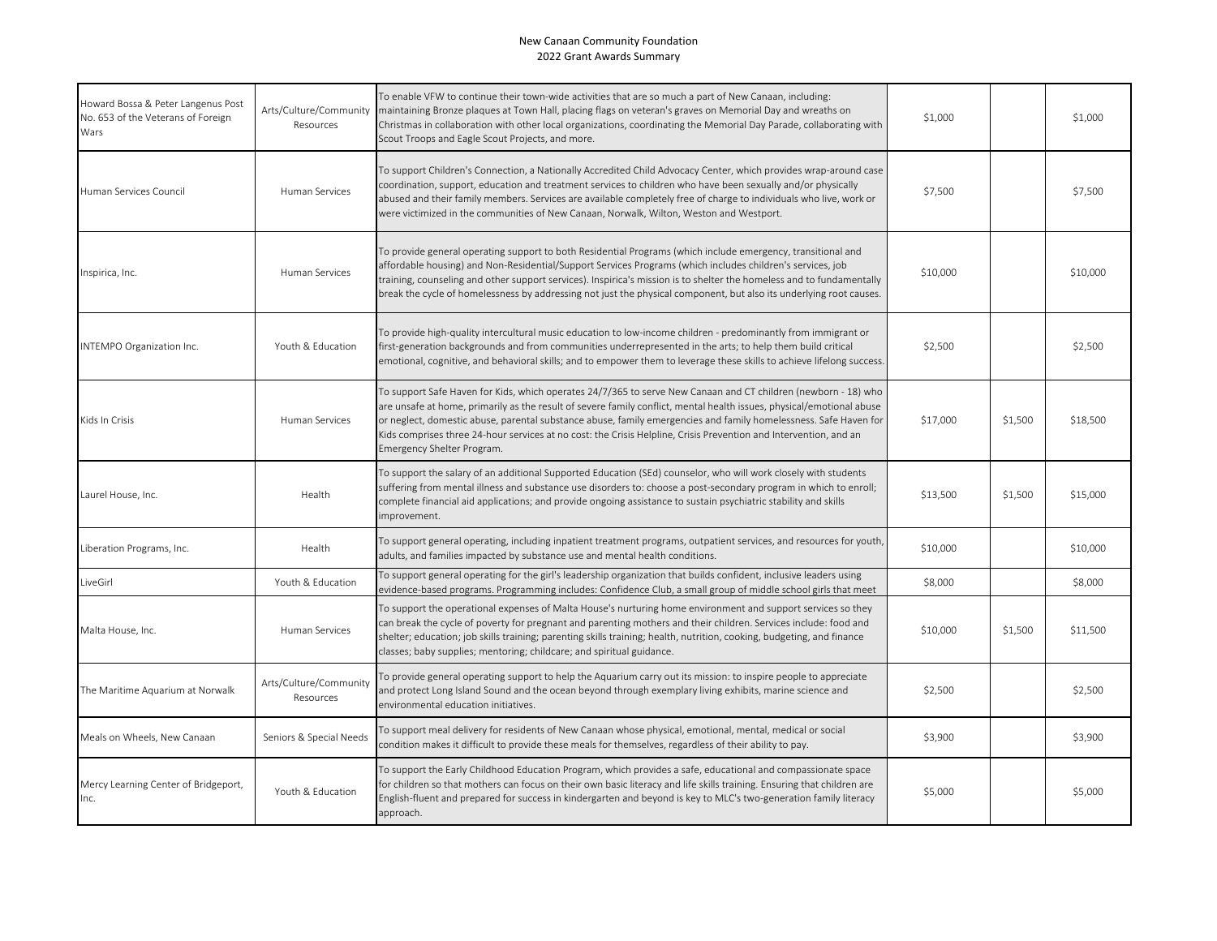| Howard Bossa & Peter Langenus Post<br>No. 653 of the Veterans of Foreign<br>Wars | Arts/Culture/Community<br>Resources | To enable VFW to continue their town-wide activities that are so much a part of New Canaan, including:<br>maintaining Bronze plaques at Town Hall, placing flags on veteran's graves on Memorial Day and wreaths on<br>Christmas in collaboration with other local organizations, coordinating the Memorial Day Parade, collaborating with<br>Scout Troops and Eagle Scout Projects, and more.                                                                                                                 | \$1,000  |         | \$1,000  |
|----------------------------------------------------------------------------------|-------------------------------------|----------------------------------------------------------------------------------------------------------------------------------------------------------------------------------------------------------------------------------------------------------------------------------------------------------------------------------------------------------------------------------------------------------------------------------------------------------------------------------------------------------------|----------|---------|----------|
| Human Services Council                                                           | Human Services                      | To support Children's Connection, a Nationally Accredited Child Advocacy Center, which provides wrap-around case<br>coordination, support, education and treatment services to children who have been sexually and/or physically<br>abused and their family members. Services are available completely free of charge to individuals who live, work or<br>were victimized in the communities of New Canaan, Norwalk, Wilton, Weston and Westport.                                                              | \$7,500  |         | \$7,500  |
| Inspirica, Inc.                                                                  | Human Services                      | To provide general operating support to both Residential Programs (which include emergency, transitional and<br>affordable housing) and Non-Residential/Support Services Programs (which includes children's services, job<br>training, counseling and other support services). Inspirica's mission is to shelter the homeless and to fundamentally<br>break the cycle of homelessness by addressing not just the physical component, but also its underlying root causes.                                     | \$10,000 |         | \$10,000 |
| INTEMPO Organization Inc.                                                        | Youth & Education                   | To provide high-quality intercultural music education to low-income children - predominantly from immigrant or<br>first-generation backgrounds and from communities underrepresented in the arts; to help them build critical<br>emotional, cognitive, and behavioral skills; and to empower them to leverage these skills to achieve lifelong success.                                                                                                                                                        | \$2,500  |         | \$2,500  |
| Kids In Crisis                                                                   | Human Services                      | To support Safe Haven for Kids, which operates 24/7/365 to serve New Canaan and CT children (newborn - 18) who<br>are unsafe at home, primarily as the result of severe family conflict, mental health issues, physical/emotional abuse<br>or neglect, domestic abuse, parental substance abuse, family emergencies and family homelessness. Safe Haven for<br>Kids comprises three 24-hour services at no cost: the Crisis Helpline, Crisis Prevention and Intervention, and an<br>Emergency Shelter Program. | \$17,000 | \$1,500 | \$18,500 |
| Laurel House, Inc.                                                               | Health                              | To support the salary of an additional Supported Education (SEd) counselor, who will work closely with students<br>suffering from mental illness and substance use disorders to: choose a post-secondary program in which to enroll;<br>complete financial aid applications; and provide ongoing assistance to sustain psychiatric stability and skills<br>improvement.                                                                                                                                        | \$13,500 | \$1,500 | \$15,000 |
| Liberation Programs, Inc.                                                        | Health                              | To support general operating, including inpatient treatment programs, outpatient services, and resources for youth,<br>adults, and families impacted by substance use and mental health conditions.                                                                                                                                                                                                                                                                                                            | \$10,000 |         | \$10,000 |
| LiveGirl                                                                         | Youth & Education                   | To support general operating for the girl's leadership organization that builds confident, inclusive leaders using<br>evidence-based programs. Programming includes: Confidence Club, a small group of middle school girls that meet                                                                                                                                                                                                                                                                           | \$8,000  |         | \$8,000  |
| Malta House, Inc.                                                                | Human Services                      | To support the operational expenses of Malta House's nurturing home environment and support services so they<br>can break the cycle of poverty for pregnant and parenting mothers and their children. Services include: food and<br>shelter; education; job skills training; parenting skills training; health, nutrition, cooking, budgeting, and finance<br>classes; baby supplies; mentoring; childcare; and spiritual guidance.                                                                            | \$10,000 | \$1,500 | \$11,500 |
| The Maritime Aquarium at Norwalk                                                 | Arts/Culture/Community<br>Resources | To provide general operating support to help the Aquarium carry out its mission: to inspire people to appreciate<br>and protect Long Island Sound and the ocean beyond through exemplary living exhibits, marine science and<br>environmental education initiatives.                                                                                                                                                                                                                                           | \$2,500  |         | \$2,500  |
| Meals on Wheels, New Canaan                                                      | Seniors & Special Needs             | To support meal delivery for residents of New Canaan whose physical, emotional, mental, medical or social<br>condition makes it difficult to provide these meals for themselves, regardless of their ability to pay.                                                                                                                                                                                                                                                                                           | \$3,900  |         | \$3,900  |
| Mercy Learning Center of Bridgeport,<br>Inc.                                     | Youth & Education                   | To support the Early Childhood Education Program, which provides a safe, educational and compassionate space<br>for children so that mothers can focus on their own basic literacy and life skills training. Ensuring that children are<br>English-fluent and prepared for success in kindergarten and beyond is key to MLC's two-generation family literacy<br>approach.                                                                                                                                      | \$5,000  |         | \$5,000  |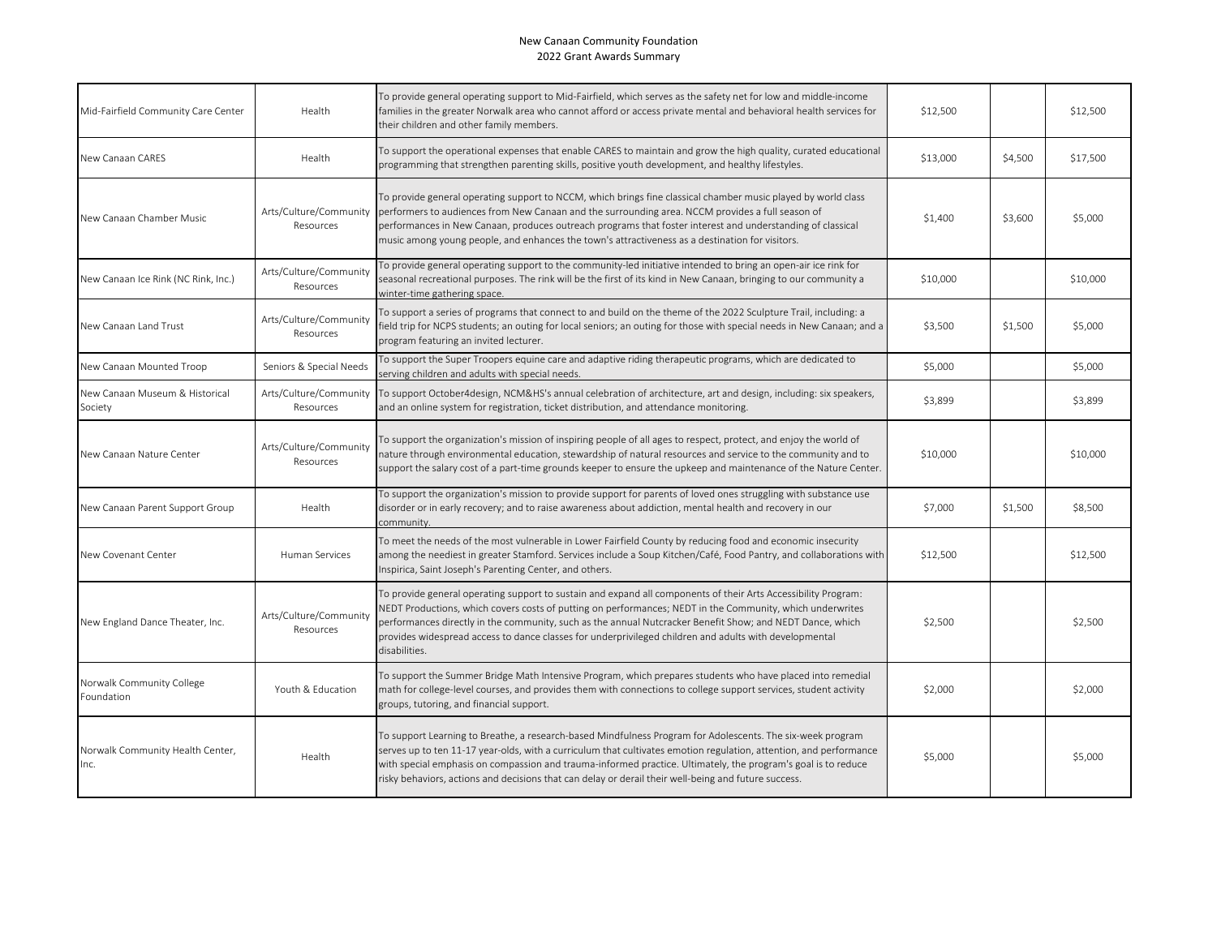| Mid-Fairfield Community Care Center       | Health                              | To provide general operating support to Mid-Fairfield, which serves as the safety net for low and middle-income<br>families in the greater Norwalk area who cannot afford or access private mental and behavioral health services for<br>their children and other family members.                                                                                                                                                                                   | \$12,500 |         | \$12,500 |
|-------------------------------------------|-------------------------------------|---------------------------------------------------------------------------------------------------------------------------------------------------------------------------------------------------------------------------------------------------------------------------------------------------------------------------------------------------------------------------------------------------------------------------------------------------------------------|----------|---------|----------|
| New Canaan CARES                          | Health                              | To support the operational expenses that enable CARES to maintain and grow the high quality, curated educational<br>programming that strengthen parenting skills, positive youth development, and healthy lifestyles.                                                                                                                                                                                                                                               | \$13,000 | \$4,500 | \$17,500 |
| New Canaan Chamber Music                  | Arts/Culture/Community<br>Resources | To provide general operating support to NCCM, which brings fine classical chamber music played by world class<br>performers to audiences from New Canaan and the surrounding area. NCCM provides a full season of<br>performances in New Canaan, produces outreach programs that foster interest and understanding of classical<br>music among young people, and enhances the town's attractiveness as a destination for visitors.                                  | \$1,400  | \$3,600 | \$5,000  |
| New Canaan Ice Rink (NC Rink, Inc.)       | Arts/Culture/Community<br>Resources | To provide general operating support to the community-led initiative intended to bring an open-air ice rink for<br>seasonal recreational purposes. The rink will be the first of its kind in New Canaan, bringing to our community a<br>winter-time gathering space.                                                                                                                                                                                                | \$10,000 |         | \$10,000 |
| New Canaan Land Trust                     | Arts/Culture/Community<br>Resources | To support a series of programs that connect to and build on the theme of the 2022 Sculpture Trail, including: a<br>field trip for NCPS students; an outing for local seniors; an outing for those with special needs in New Canaan; and a<br>program featuring an invited lecturer.                                                                                                                                                                                | \$3,500  | \$1,500 | \$5,000  |
| New Canaan Mounted Troop                  | Seniors & Special Needs             | To support the Super Troopers equine care and adaptive riding therapeutic programs, which are dedicated to<br>serving children and adults with special needs.                                                                                                                                                                                                                                                                                                       | \$5,000  |         | \$5,000  |
| New Canaan Museum & Historical<br>Society | Arts/Culture/Community<br>Resources | To support October4design, NCM&HS's annual celebration of architecture, art and design, including: six speakers,<br>and an online system for registration, ticket distribution, and attendance monitoring.                                                                                                                                                                                                                                                          | \$3,899  |         | \$3,899  |
| New Canaan Nature Center                  | Arts/Culture/Community<br>Resources | To support the organization's mission of inspiring people of all ages to respect, protect, and enjoy the world of<br>nature through environmental education, stewardship of natural resources and service to the community and to<br>support the salary cost of a part-time grounds keeper to ensure the upkeep and maintenance of the Nature Center.                                                                                                               | \$10,000 |         | \$10,000 |
| New Canaan Parent Support Group           | Health                              | To support the organization's mission to provide support for parents of loved ones struggling with substance use<br>disorder or in early recovery; and to raise awareness about addiction, mental health and recovery in our<br>community.                                                                                                                                                                                                                          | \$7,000  | \$1,500 | \$8,500  |
| New Covenant Center                       | <b>Human Services</b>               | To meet the needs of the most vulnerable in Lower Fairfield County by reducing food and economic insecurity<br>among the neediest in greater Stamford. Services include a Soup Kitchen/Café, Food Pantry, and collaborations with<br>Inspirica, Saint Joseph's Parenting Center, and others.                                                                                                                                                                        | \$12,500 |         | \$12,500 |
| New England Dance Theater, Inc.           | Arts/Culture/Community<br>Resources | To provide general operating support to sustain and expand all components of their Arts Accessibility Program:<br>NEDT Productions, which covers costs of putting on performances; NEDT in the Community, which underwrites<br>performances directly in the community, such as the annual Nutcracker Benefit Show; and NEDT Dance, which<br>provides widespread access to dance classes for underprivileged children and adults with developmental<br>disabilities. | \$2,500  |         | \$2,500  |
| Norwalk Community College<br>Foundation   | Youth & Education                   | To support the Summer Bridge Math Intensive Program, which prepares students who have placed into remedial<br>math for college-level courses, and provides them with connections to college support services, student activity<br>groups, tutoring, and financial support.                                                                                                                                                                                          | \$2,000  |         | \$2,000  |
| Norwalk Community Health Center,<br>Inc.  | Health                              | To support Learning to Breathe, a research-based Mindfulness Program for Adolescents. The six-week program<br>serves up to ten 11-17 year-olds, with a curriculum that cultivates emotion regulation, attention, and performance<br>with special emphasis on compassion and trauma-informed practice. Ultimately, the program's goal is to reduce<br>risky behaviors, actions and decisions that can delay or derail their well-being and future success.           | \$5,000  |         | \$5,000  |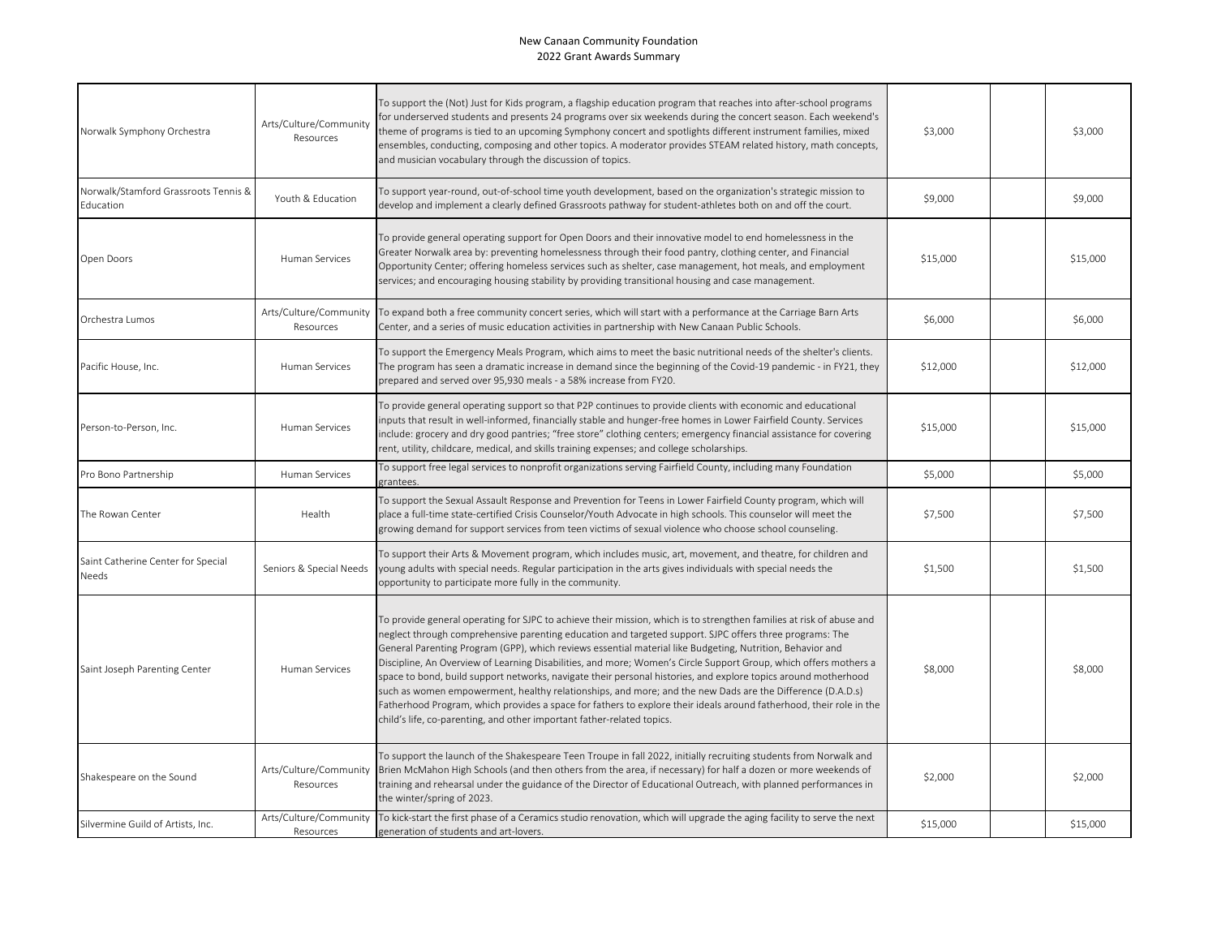| Norwalk Symphony Orchestra                        | Arts/Culture/Community<br>Resources | To support the (Not) Just for Kids program, a flagship education program that reaches into after-school programs<br>for underserved students and presents 24 programs over six weekends during the concert season. Each weekend's<br>theme of programs is tied to an upcoming Symphony concert and spotlights different instrument families, mixed<br>ensembles, conducting, composing and other topics. A moderator provides STEAM related history, math concepts,<br>and musician vocabulary through the discussion of topics.                                                                                                                                                                                                                                                                                                                                                                 | \$3,000  | \$3,000  |
|---------------------------------------------------|-------------------------------------|--------------------------------------------------------------------------------------------------------------------------------------------------------------------------------------------------------------------------------------------------------------------------------------------------------------------------------------------------------------------------------------------------------------------------------------------------------------------------------------------------------------------------------------------------------------------------------------------------------------------------------------------------------------------------------------------------------------------------------------------------------------------------------------------------------------------------------------------------------------------------------------------------|----------|----------|
| Norwalk/Stamford Grassroots Tennis &<br>Education | Youth & Education                   | To support year-round, out-of-school time youth development, based on the organization's strategic mission to<br>develop and implement a clearly defined Grassroots pathway for student-athletes both on and off the court.                                                                                                                                                                                                                                                                                                                                                                                                                                                                                                                                                                                                                                                                      | \$9,000  | \$9,000  |
| Open Doors                                        | Human Services                      | To provide general operating support for Open Doors and their innovative model to end homelessness in the<br>Greater Norwalk area by: preventing homelessness through their food pantry, clothing center, and Financial<br>Opportunity Center; offering homeless services such as shelter, case management, hot meals, and employment<br>services; and encouraging housing stability by providing transitional housing and case management.                                                                                                                                                                                                                                                                                                                                                                                                                                                      | \$15,000 | \$15,000 |
| Orchestra Lumos                                   | Arts/Culture/Community<br>Resources | To expand both a free community concert series, which will start with a performance at the Carriage Barn Arts<br>Center, and a series of music education activities in partnership with New Canaan Public Schools.                                                                                                                                                                                                                                                                                                                                                                                                                                                                                                                                                                                                                                                                               | \$6,000  | \$6,000  |
| Pacific House, Inc.                               | <b>Human Services</b>               | To support the Emergency Meals Program, which aims to meet the basic nutritional needs of the shelter's clients.<br>The program has seen a dramatic increase in demand since the beginning of the Covid-19 pandemic - in FY21, they<br>prepared and served over 95,930 meals - a 58% increase from FY20.                                                                                                                                                                                                                                                                                                                                                                                                                                                                                                                                                                                         | \$12,000 | \$12,000 |
| Person-to-Person, Inc.                            | Human Services                      | To provide general operating support so that P2P continues to provide clients with economic and educational<br>nputs that result in well-informed, financially stable and hunger-free homes in Lower Fairfield County. Services<br>nclude: grocery and dry good pantries; "free store" clothing centers; emergency financial assistance for covering<br>rent, utility, childcare, medical, and skills training expenses; and college scholarships.                                                                                                                                                                                                                                                                                                                                                                                                                                               | \$15,000 | \$15,000 |
| Pro Bono Partnership                              | Human Services                      | To support free legal services to nonprofit organizations serving Fairfield County, including many Foundation<br>grantees.                                                                                                                                                                                                                                                                                                                                                                                                                                                                                                                                                                                                                                                                                                                                                                       | \$5,000  | \$5,000  |
| The Rowan Center                                  | Health                              | To support the Sexual Assault Response and Prevention for Teens in Lower Fairfield County program, which will<br>place a full-time state-certified Crisis Counselor/Youth Advocate in high schools. This counselor will meet the<br>growing demand for support services from teen victims of sexual violence who choose school counseling.                                                                                                                                                                                                                                                                                                                                                                                                                                                                                                                                                       | \$7,500  | \$7,500  |
| Saint Catherine Center for Special<br>Needs       | Seniors & Special Needs             | To support their Arts & Movement program, which includes music, art, movement, and theatre, for children and<br>young adults with special needs. Regular participation in the arts gives individuals with special needs the<br>opportunity to participate more fully in the community.                                                                                                                                                                                                                                                                                                                                                                                                                                                                                                                                                                                                           | \$1,500  | \$1,500  |
| Saint Joseph Parenting Center                     | <b>Human Services</b>               | To provide general operating for SJPC to achieve their mission, which is to strengthen families at risk of abuse and<br>neglect through comprehensive parenting education and targeted support. SJPC offers three programs: The<br>General Parenting Program (GPP), which reviews essential material like Budgeting, Nutrition, Behavior and<br>Discipline, An Overview of Learning Disabilities, and more; Women's Circle Support Group, which offers mothers a<br>space to bond, build support networks, navigate their personal histories, and explore topics around motherhood<br>such as women empowerment, healthy relationships, and more; and the new Dads are the Difference (D.A.D.s)<br>Fatherhood Program, which provides a space for fathers to explore their ideals around fatherhood, their role in the<br>child's life, co-parenting, and other important father-related topics. | \$8,000  | \$8,000  |
| Shakespeare on the Sound                          | Arts/Culture/Community<br>Resources | To support the launch of the Shakespeare Teen Troupe in fall 2022, initially recruiting students from Norwalk and<br>Brien McMahon High Schools (and then others from the area, if necessary) for half a dozen or more weekends of<br>training and rehearsal under the guidance of the Director of Educational Outreach, with planned performances in<br>the winter/spring of 2023.                                                                                                                                                                                                                                                                                                                                                                                                                                                                                                              | \$2,000  | \$2,000  |
| Silvermine Guild of Artists, Inc.                 | Arts/Culture/Community<br>Resources | To kick-start the first phase of a Ceramics studio renovation, which will upgrade the aging facility to serve the next<br>generation of students and art-lovers.                                                                                                                                                                                                                                                                                                                                                                                                                                                                                                                                                                                                                                                                                                                                 | \$15,000 | \$15,000 |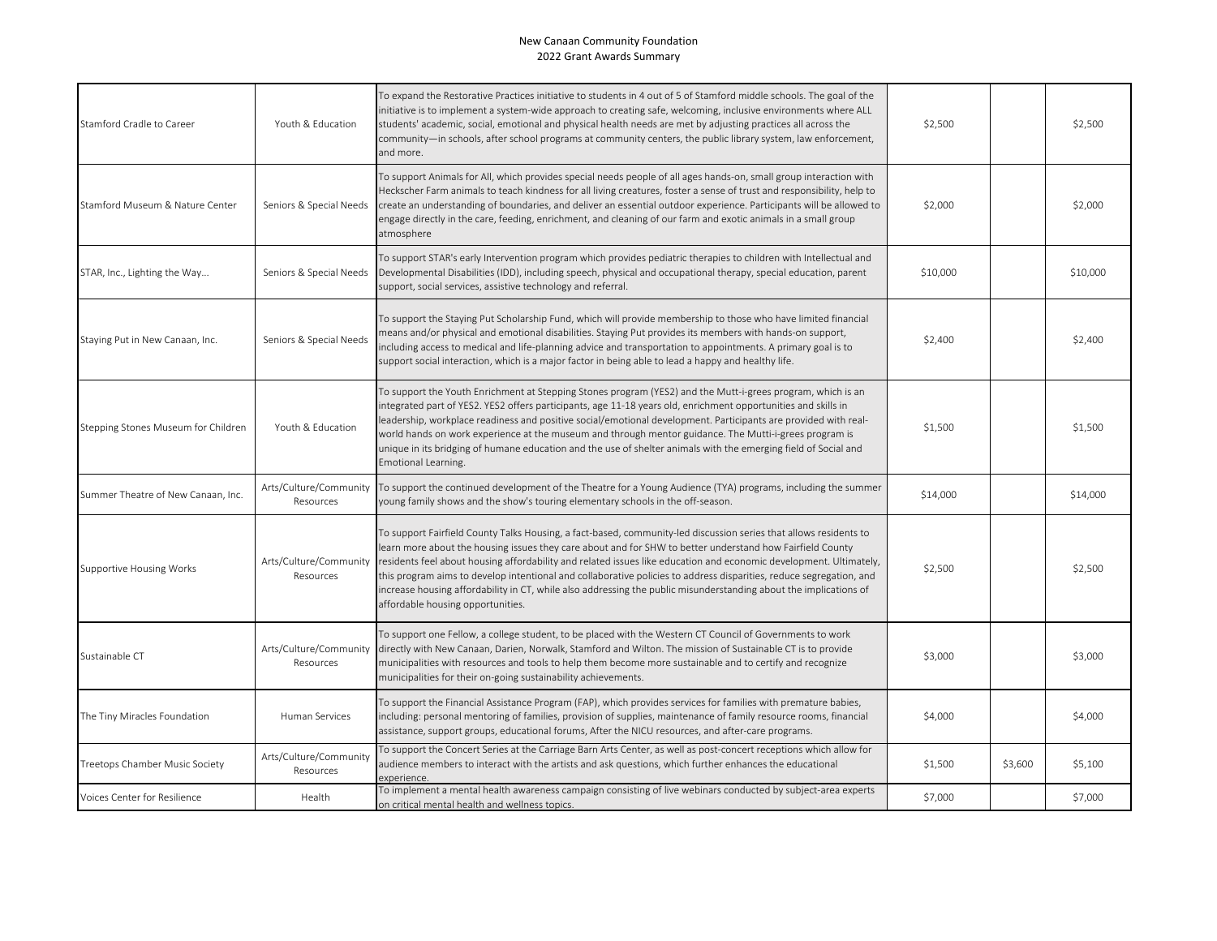| Stamford Cradle to Career           | Youth & Education                   | To expand the Restorative Practices initiative to students in 4 out of 5 of Stamford middle schools. The goal of the<br>initiative is to implement a system-wide approach to creating safe, welcoming, inclusive environments where ALL<br>students' academic, social, emotional and physical health needs are met by adjusting practices all across the<br>community—in schools, after school programs at community centers, the public library system, law enforcement,<br>and more.                                                                                                                                               | \$2,500  |         | \$2,500  |
|-------------------------------------|-------------------------------------|--------------------------------------------------------------------------------------------------------------------------------------------------------------------------------------------------------------------------------------------------------------------------------------------------------------------------------------------------------------------------------------------------------------------------------------------------------------------------------------------------------------------------------------------------------------------------------------------------------------------------------------|----------|---------|----------|
| Stamford Museum & Nature Center     | Seniors & Special Needs             | To support Animals for All, which provides special needs people of all ages hands-on, small group interaction with<br>Heckscher Farm animals to teach kindness for all living creatures, foster a sense of trust and responsibility, help to<br>create an understanding of boundaries, and deliver an essential outdoor experience. Participants will be allowed to<br>engage directly in the care, feeding, enrichment, and cleaning of our farm and exotic animals in a small group<br>atmosphere                                                                                                                                  | \$2,000  |         | \$2,000  |
| STAR, Inc., Lighting the Way        | Seniors & Special Needs             | To support STAR's early Intervention program which provides pediatric therapies to children with Intellectual and<br>Developmental Disabilities (IDD), including speech, physical and occupational therapy, special education, parent<br>support, social services, assistive technology and referral.                                                                                                                                                                                                                                                                                                                                | \$10,000 |         | \$10,000 |
| Staying Put in New Canaan, Inc.     | Seniors & Special Needs             | To support the Staying Put Scholarship Fund, which will provide membership to those who have limited financial<br>means and/or physical and emotional disabilities. Staying Put provides its members with hands-on support,<br>ncluding access to medical and life-planning advice and transportation to appointments. A primary goal is to<br>support social interaction, which is a major factor in being able to lead a happy and healthy life.                                                                                                                                                                                   | \$2,400  |         | \$2,400  |
| Stepping Stones Museum for Children | Youth & Education                   | To support the Youth Enrichment at Stepping Stones program (YES2) and the Mutt-i-grees program, which is an<br>ntegrated part of YES2. YES2 offers participants, age 11-18 years old, enrichment opportunities and skills in<br>leadership, workplace readiness and positive social/emotional development. Participants are provided with real-<br>world hands on work experience at the museum and through mentor guidance. The Mutti-i-grees program is<br>unique in its bridging of humane education and the use of shelter animals with the emerging field of Social and<br>Emotional Learning.                                  | \$1,500  |         | \$1,500  |
| Summer Theatre of New Canaan, Inc.  | Arts/Culture/Community<br>Resources | To support the continued development of the Theatre for a Young Audience (TYA) programs, including the summer<br>young family shows and the show's touring elementary schools in the off-season.                                                                                                                                                                                                                                                                                                                                                                                                                                     | \$14,000 |         | \$14,000 |
| <b>Supportive Housing Works</b>     | Arts/Culture/Community<br>Resources | To support Fairfield County Talks Housing, a fact-based, community-led discussion series that allows residents to<br>learn more about the housing issues they care about and for SHW to better understand how Fairfield County<br>residents feel about housing affordability and related issues like education and economic development. Ultimately,<br>this program aims to develop intentional and collaborative policies to address disparities, reduce segregation, and<br>ncrease housing affordability in CT, while also addressing the public misunderstanding about the implications of<br>affordable housing opportunities. | \$2,500  |         | \$2,500  |
| Sustainable CT                      | Arts/Culture/Community<br>Resources | To support one Fellow, a college student, to be placed with the Western CT Council of Governments to work<br>directly with New Canaan, Darien, Norwalk, Stamford and Wilton. The mission of Sustainable CT is to provide<br>municipalities with resources and tools to help them become more sustainable and to certify and recognize<br>municipalities for their on-going sustainability achievements.                                                                                                                                                                                                                              | \$3,000  |         | \$3,000  |
| The Tiny Miracles Foundation        | Human Services                      | To support the Financial Assistance Program (FAP), which provides services for families with premature babies,<br>ncluding: personal mentoring of families, provision of supplies, maintenance of family resource rooms, financial<br>assistance, support groups, educational forums, After the NICU resources, and after-care programs.                                                                                                                                                                                                                                                                                             | \$4,000  |         | \$4,000  |
| Treetops Chamber Music Society      | Arts/Culture/Community<br>Resources | To support the Concert Series at the Carriage Barn Arts Center, as well as post-concert receptions which allow for<br>audience members to interact with the artists and ask questions, which further enhances the educational<br>experience                                                                                                                                                                                                                                                                                                                                                                                          | \$1,500  | \$3,600 | \$5,100  |
| Voices Center for Resilience        | Health                              | To implement a mental health awareness campaign consisting of live webinars conducted by subject-area experts<br>on critical mental health and wellness topics.                                                                                                                                                                                                                                                                                                                                                                                                                                                                      | \$7,000  |         | \$7,000  |